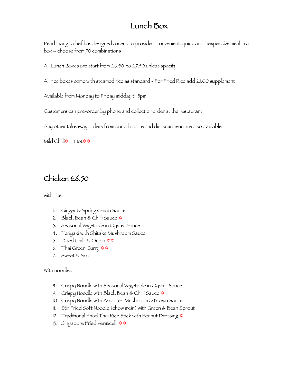# Lunch Box

Pearl Liang's chef has designed a menu to provide a convenient, quick and inexpensive meal in a box – choose from 70 combinations

All Lunch Boxes are start from £6.50 to £7.50 unless specify

All rice boxes come with steamed rice as standard - For Fried Rice add £1.00 supplement

Available from Monday to Friday midday til 5pm

Customers can pre-order by phone and collect or order at the restaurant

Any other takeaway orders from our a la carte and dim sum menu are also available

Mild Chilli<sup>\$</sup> Hot \$

## Chicken £6.50

with rice

- 1. Ginger & Spring Onion Sauce
- 2. Black Bean & Chilli Sauce  $\phi$
- 3. Seasonal Vegetable in Oyster Sauce
- 4. Teriyaki with Shitake Mushroom Sauce
- 5. Dried Chilli & Onion  $\frac{\mathbf{\triangleleft}}{\mathbf{\triangleleft}}$
- 6. Thai Green Curry  $\star\star$
- 7. Sweet & Sour

- 8. Crispy Noodle with Seasonal Vegetable in Oyster Sauce
- 9. Crispy Noodle with Black Bean & Chilli Sauce  $\Phi$
- 10. Crispy Noodle with Assorted Mushroom & Brown Sauce
- 11. Stir Fried Soft Noodle (chow mein) with Green & Bean Sprout
- 12. Traditional Phad Thai Rice Stick with Peanut Dressing  $\ast$
- 13. Singapore Fried Vermicelli  $\ast\ast$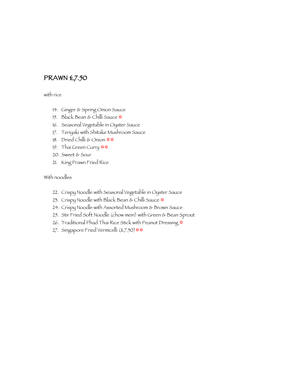### PRAWN £7.50

with rice

- 14. Ginger & Spring Onion Sauce
- 15. Black Bean & Chilli Sauce  $\ast$
- 16. Seasonal Vegetable in Oyster Sauce
- 17. Teriyaki with Shitake Mushroom Sauce
- 18. Dried Chilli & Onion  $\star\star$
- 19. Thai Green Curry  $\Leftrightarrow$   $\Leftrightarrow$
- 20. Sweet & Sour
- 21. King Prawn Fried Rice

- 22. Crispy Noodle with Seasonal Vegetable in Oyster Sauce
- 23. Crispy Noodle with Black Bean & Chilli Sauce  $\phi$
- 24. Crispy Noodle with Assorted Mushroom & Brown Sauce
- 25. Stir Fried Soft Noodle (chow mein) with Green & Bean Sprout
- 26. Traditional Phad Thai Rice Stick with Peanut Dressing  $\ast$
- 27. Singapore Fried Vermicelli (£7.50) \*\*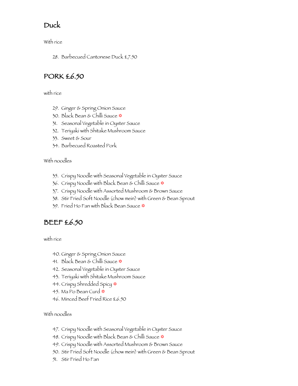## Duck

With rice

28. Barbecued Cantonese Duck £7.50

## PORK £6.50

with rice

- 29. Ginger & Spring Onion Sauce
- 30. Black Bean & Chilli Sauce  $\phi$
- 31. Seasonal Vegetable in Oyster Sauce
- 32. Teriyaki with Shitake Mushroom Sauce
- 33. Sweet & Sour
- 34. Barbecued Roasted Pork

#### With noodles

- 35. Crispy Noodle with Seasonal Vegetable in Oyster Sauce
- 36. Crispy Noodle with Black Bean & Chilli Sauce  $\Phi$
- 37. Crispy Noodle with Assorted Mushroom & Brown Sauce
- 38. Stir Fried Soft Noodle (chow mein) with Green & Bean Sprout
- 39. Fried Ho Fan with Black Bean Sauce  $\Phi$

## BEEF £6.50

with rice

- 40. Ginger & Spring Onion Sauce
- 41. Black Bean & Chilli Sauce  $\ast$
- 42. Seasonal Vegetable in Oyster Sauce
- 43. Teriyaki with Shitake Mushroom Sauce
- 44. Crispy Shredded Spicy  $*$
- 45. Ma Po Bean Curd ‡
- 46. Minced Beef Fried Rice £6.50

- 47. Crispy Noodle with Seasonal Vegetable in Oyster Sauce
- 48. Crispy Noodle with Black Bean & Chilli Sauce  $*$
- 49. Crispy Noodle with Assorted Mushroom & Brown Sauce
- 50. Stir Fried Soft Noodle (chow mein) with Green & Bean Sprout
- 51. Stir Fried Ho Fan